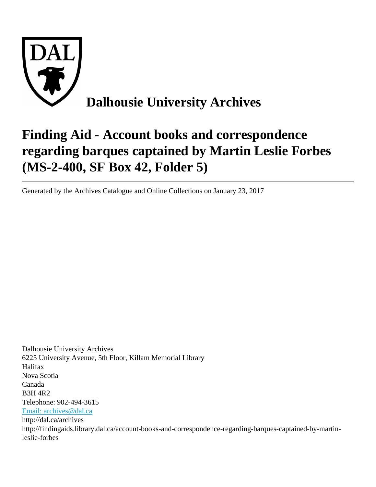

# **Finding Aid - Account books and correspondence regarding barques captained by Martin Leslie Forbes (MS-2-400, SF Box 42, Folder 5)**

Generated by the Archives Catalogue and Online Collections on January 23, 2017

Dalhousie University Archives 6225 University Avenue, 5th Floor, Killam Memorial Library Halifax Nova Scotia Canada B3H 4R2 Telephone: 902-494-3615 [Email: archives@dal.ca](mailto:Email: archives@dal.ca) http://dal.ca/archives http://findingaids.library.dal.ca/account-books-and-correspondence-regarding-barques-captained-by-martinleslie-forbes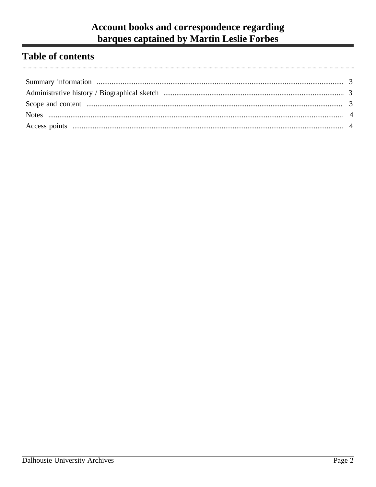# Account books and correspondence regarding barques captained by Martin Leslie Forbes

# **Table of contents**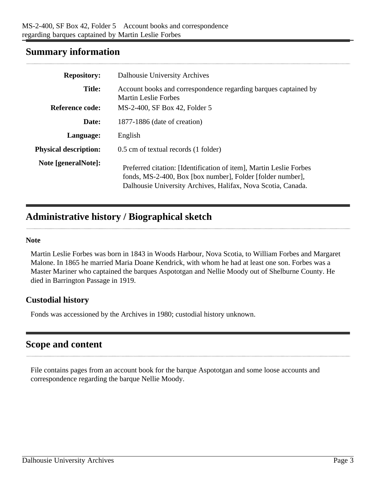## <span id="page-2-0"></span>**Summary information**

| <b>Repository:</b>           | Dalhousie University Archives                                                                                                                                                                    |
|------------------------------|--------------------------------------------------------------------------------------------------------------------------------------------------------------------------------------------------|
| <b>Title:</b>                | Account books and correspondence regarding barques captained by<br><b>Martin Leslie Forbes</b>                                                                                                   |
| Reference code:              | MS-2-400, SF Box 42, Folder 5                                                                                                                                                                    |
| Date:                        | 1877-1886 (date of creation)                                                                                                                                                                     |
| Language:                    | English                                                                                                                                                                                          |
| <b>Physical description:</b> | 0.5 cm of textual records (1 folder)                                                                                                                                                             |
| Note [generalNote]:          | Preferred citation: [Identification of item], Martin Leslie Forbes<br>fonds, MS-2-400, Box [box number], Folder [folder number],<br>Dalhousie University Archives, Halifax, Nova Scotia, Canada. |

# <span id="page-2-1"></span>**Administrative history / Biographical sketch**

#### **Note**

Martin Leslie Forbes was born in 1843 in Woods Harbour, Nova Scotia, to William Forbes and Margaret Malone. In 1865 he married Maria Doane Kendrick, with whom he had at least one son. Forbes was a Master Mariner who captained the barques Aspototgan and Nellie Moody out of Shelburne County. He died in Barrington Passage in 1919.

#### **Custodial history**

Fonds was accessioned by the Archives in 1980; custodial history unknown.

## <span id="page-2-2"></span>**Scope and content**

File contains pages from an account book for the barque Aspototgan and some loose accounts and correspondence regarding the barque Nellie Moody.